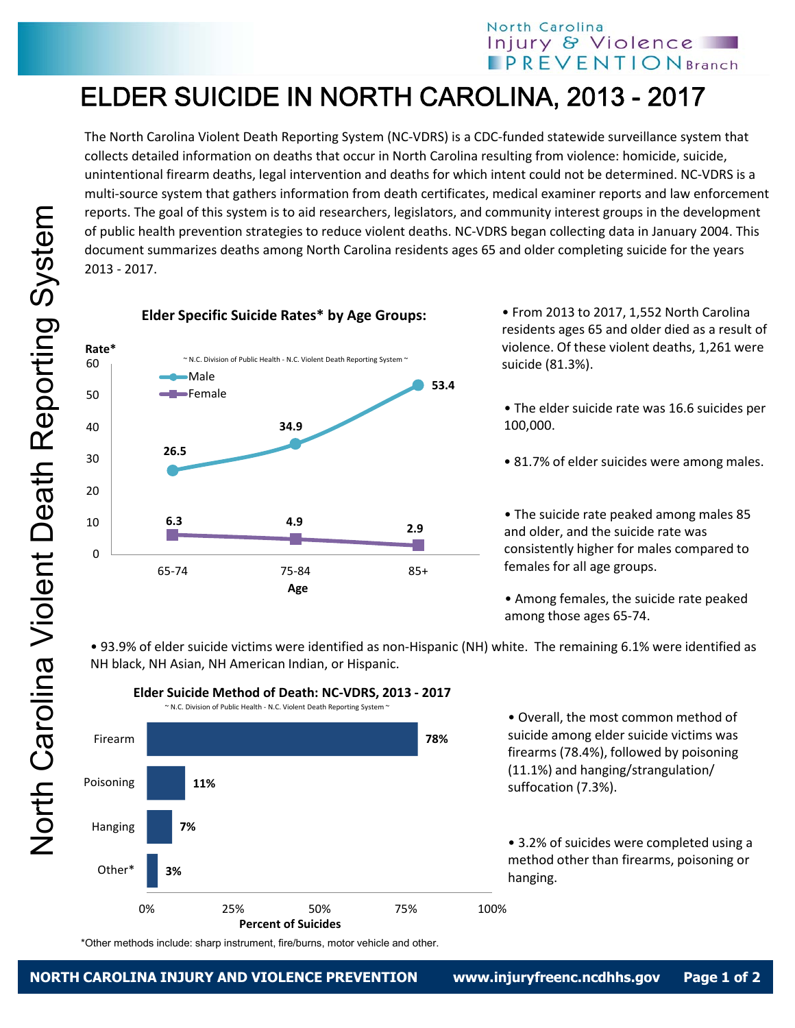## North Carolina Injury & Violence **IPREVENTIONBranch**

## ELDER SUICIDE IN NORTH CAROLINA, 2013 - 2017

The North Carolina Violent Death Reporting System (NC‐VDRS) is a CDC‐funded statewide surveillance system that collects detailed information on deaths that occur in North Carolina resulting from violence: homicide, suicide, unintentional firearm deaths, legal intervention and deaths for which intent could not be determined. NC‐VDRS is a multi‐source system that gathers information from death certificates, medical examiner reports and law enforcement reports. The goal of this system is to aid researchers, legislators, and community interest groups in the development of public health prevention strategies to reduce violent deaths. NC‐VDRS began collecting data in January 2004. This document summarizes deaths among North Carolina residents ages 65 and older completing suicide for the years 2013 ‐ 2017.

**Elder Specific Suicide Rates\* by Age Groups:** 



• From 2013 to 2017, 1,552 North Carolina residents ages 65 and older died as a result of violence. Of these violent deaths, 1,261 were suicide (81.3%).

- The elder suicide rate was 16.6 suicides per 100,000.
- 81.7% of elder suicides were among males.

• The suicide rate peaked among males 85 and older, and the suicide rate was consistently higher for males compared to females for all age groups.

• Among females, the suicide rate peaked among those ages 65‐74.

• 93.9% of elder suicide victims were identified as non‐Hispanic (NH) white. The remaining 6.1% were identified as NH black, NH Asian, NH American Indian, or Hispanic.



• Overall, the most common method of suicide among elder suicide victims was firearms (78.4%), followed by poisoning (11.1%) and hanging/strangulation/ suffocation (7.3%).

• 3.2% of suicides were completed using a method other than firearms, poisoning or hanging.

\*Other methods include: sharp instrument, fire/burns, motor vehicle and other.